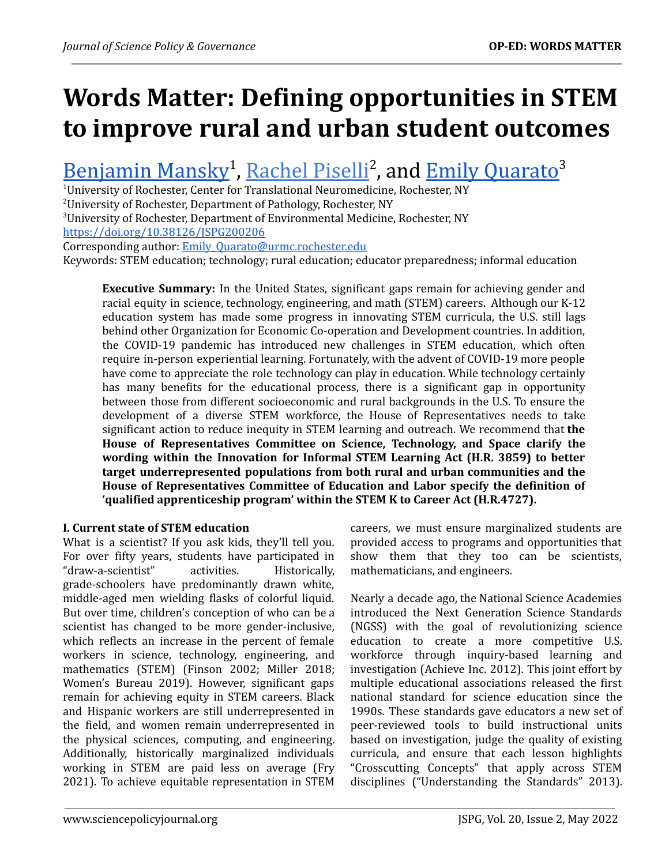# **Words Matter: Defining opportunities in STEM to improve rural and urban student outcomes**

# [Benjamin](https://orcid.org/0000-0002-7032-7004) Mansky<sup>1</sup>, [Rachel](https://orcid.org/0000-0002-1434-5670) Piselli<sup>2</sup>, and Emily [Quarato](https://orcid.org/0000-0001-8652-0928)<sup>3</sup>

 $1$ University of Rochester, Center for Translational Neuromedicine, Rochester, NY <sup>2</sup>University of Rochester, Department of Pathology, Rochester, NY <sup>3</sup>University of Rochester, Department of Environmental Medicine, Rochester, NY

<https://doi.org/10.38126/JSPG200206>

Corresponding author: Emily\_Quarato@urmc.rochester.edu

Keywords: STEM education; technology; rural education; educator preparedness; informal education

**Executive Summary:** In the United States, significant gaps remain for achieving gender and racial equity in science, technology, engineering, and math (STEM) careers. Although our K-12 education system has made some progress in innovating STEM curricula, the U.S. still lags behind other Organization for Economic Co-operation and Development countries. In addition, the COVID-19 pandemic has introduced new challenges in STEM education, which often require in-person experiential learning. Fortunately, with the advent of COVID-19 more people have come to appreciate the role technology can play in education. While technology certainly has many benefits for the educational process, there is a significant gap in opportunity between those from different socioeconomic and rural backgrounds in the U.S. To ensure the development of a diverse STEM workforce, the House of Representatives needs to take significant action to reduce inequity in STEM learning and outreach. We recommend that **the House of Representatives Committee on Science, Technology, and Space clarify the wording within the Innovation for Informal STEM Learning Act (H.R. 3859) to better target underrepresented populations from both rural and urban communities and the House of Representatives Committee of Education and Labor specify the definition of 'qualified apprenticeship program' within the STEM K to Career Act (H.R.4727).**

# **I. Current state of STEM education**

What is a scientist? If you ask kids, they'll tell you. For over fifty years, students have participated in "draw-a-scientist" activities. Historically, grade-schoolers have predominantly drawn white, middle-aged men wielding flasks of colorful liquid. But over time, children's conception of who can be a scientist has changed to be more gender-inclusive, which reflects an increase in the percent of female workers in science, technology, engineering, and mathematics (STEM) (Finson 2002; Miller 2018; Women's Bureau 2019). However, significant gaps remain for achieving equity in STEM careers. Black and Hispanic workers are still underrepresented in the field, and women remain underrepresented in the physical sciences, computing, and engineering. Additionally, historically marginalized individuals working in STEM are paid less on average (Fry 2021). To achieve equitable representation in STEM

careers, we must ensure marginalized students are provided access to programs and opportunities that show them that they too can be scientists, mathematicians, and engineers.

Nearly a decade ago, the National Science Academies introduced the Next Generation Science Standards (NGSS) with the goal of revolutionizing science education to create a more competitive U.S. workforce through inquiry-based learning and investigation (Achieve Inc. 2012). This joint effort by multiple educational associations released the first national standard for science education since the 1990s. These standards gave educators a new set of peer-reviewed tools to build instructional units based on investigation, judge the quality of existing curricula, and ensure that each lesson highlights "Crosscutting Concepts" that apply across STEM disciplines ("Understanding the Standards" 2013).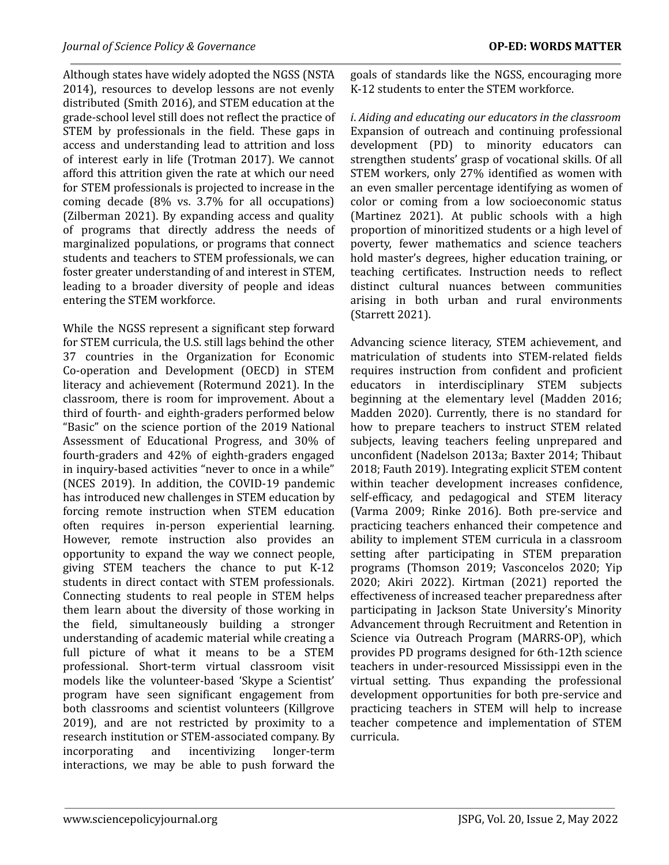Although states have widely adopted the NGSS (NSTA 2014), resources to develop lessons are not evenly distributed (Smith 2016), and STEM education at the grade-school level still does not reflect the practice of STEM by professionals in the field. These gaps in access and understanding lead to attrition and loss of interest early in life (Trotman 2017). We cannot afford this attrition given the rate at which our need for STEM professionals is projected to increase in the coming decade (8% vs. 3.7% for all occupations) (Zilberman 2021). By expanding access and quality of programs that directly address the needs of marginalized populations, or programs that connect students and teachers to STEM professionals, we can foster greater understanding of and interest in STEM, leading to a broader diversity of people and ideas entering the STEM workforce.

While the NGSS represent a significant step forward for STEM curricula, the U.S. still lags behind the other 37 countries in the Organization for Economic Co-operation and Development (OECD) in STEM literacy and achievement (Rotermund 2021). In the classroom, there is room for improvement. About a third of fourth- and eighth-graders performed below "Basic" on the science portion of the 2019 National Assessment of Educational Progress, and 30% of fourth-graders and 42% of eighth-graders engaged in inquiry-based activities "never to once in a while" (NCES 2019). In addition, the COVID-19 pandemic has introduced new challenges in STEM education by forcing remote instruction when STEM education often requires in-person experiential learning. However, remote instruction also provides an opportunity to expand the way we connect people, giving STEM teachers the chance to put K-12 students in direct contact with STEM professionals. Connecting students to real people in STEM helps them learn about the diversity of those working in the field, simultaneously building a stronger understanding of academic material while creating a full picture of what it means to be a STEM professional. Short-term virtual classroom visit models like the volunteer-based 'Skype a Scientist' program have seen significant engagement from both classrooms and scientist volunteers (Killgrove 2019), and are not restricted by proximity to a research institution or STEM-associated company. By incorporating and incentivizing longer-term interactions, we may be able to push forward the

goals of standards like the NGSS, encouraging more K-12 students to enter the STEM workforce.

*i*. *Aiding and educating our educators in the classroom* Expansion of outreach and continuing professional development (PD) to minority educators can strengthen students' grasp of vocational skills. Of all STEM workers, only 27% identified as women with an even smaller percentage identifying as women of color or coming from a low socioeconomic status (Martinez 2021). At public schools with a high proportion of minoritized students or a high level of poverty, fewer mathematics and science teachers hold master's degrees, higher education training, or teaching certificates. Instruction needs to reflect distinct cultural nuances between communities arising in both urban and rural environments (Starrett 2021).

Advancing science literacy, STEM achievement, and matriculation of students into STEM-related fields requires instruction from confident and proficient educators in interdisciplinary STEM subjects beginning at the elementary level (Madden 2016; Madden 2020). Currently, there is no standard for how to prepare teachers to instruct STEM related subjects, leaving teachers feeling unprepared and unconfident (Nadelson 2013a; Baxter 2014; Thibaut 2018; Fauth 2019). Integrating explicit STEM content within teacher development increases confidence, self-efficacy, and pedagogical and STEM literacy (Varma 2009; Rinke 2016). Both pre-service and practicing teachers enhanced their competence and ability to implement STEM curricula in a classroom setting after participating in STEM preparation programs (Thomson 2019; Vasconcelos 2020; Yip 2020; Akiri 2022). Kirtman (2021) reported the effectiveness of increased teacher preparedness after participating in Jackson State University's Minority Advancement through Recruitment and Retention in Science via Outreach Program (MARRS-OP), which provides PD programs designed for 6th-12th science teachers in under-resourced Mississippi even in the virtual setting. Thus expanding the professional development opportunities for both pre-service and practicing teachers in STEM will help to increase teacher competence and implementation of STEM curricula.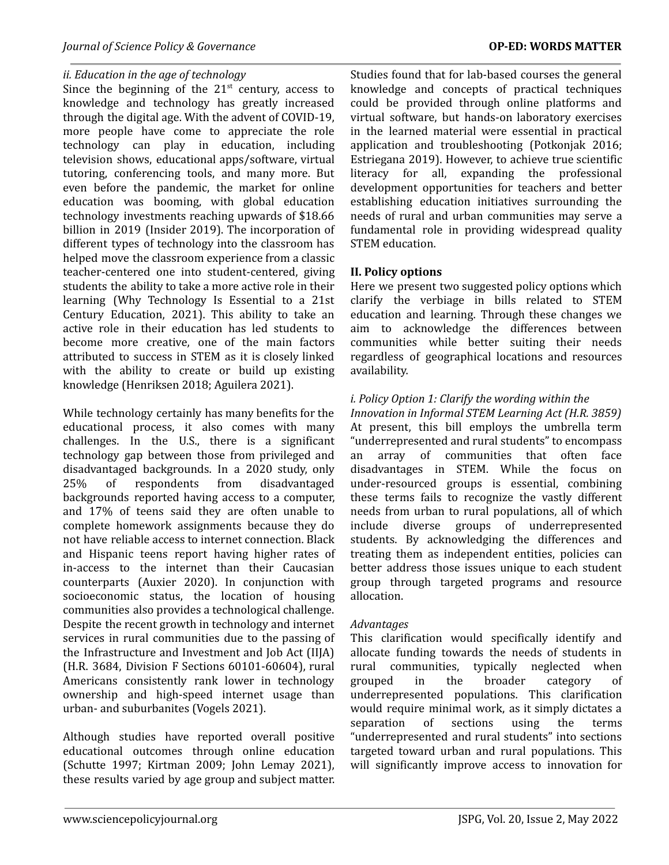## *ii. Education in the age of technology*

Since the beginning of the  $21<sup>st</sup>$  century, access to knowledge and technology has greatly increased through the digital age. With the advent of COVID-19, more people have come to appreciate the role technology can play in education, including television shows, educational apps/software, virtual tutoring, conferencing tools, and many more. But even before the pandemic, the market for online education was booming, with global education technology investments reaching upwards of \$18.66 billion in 2019 (Insider 2019). The incorporation of different types of technology into the classroom has helped move the classroom experience from a classic teacher-centered one into student-centered, giving students the ability to take a more active role in their learning (Why Technology Is Essential to a 21st Century Education, 2021). This ability to take an active role in their education has led students to become more creative, one of the main factors attributed to success in STEM as it is closely linked with the ability to create or build up existing knowledge (Henriksen 2018; Aguilera 2021).

While technology certainly has many benefits for the educational process, it also comes with many challenges. In the U.S., there is a significant technology gap between those from privileged and disadvantaged backgrounds. In a 2020 study, only 25% of respondents from disadvantaged backgrounds reported having access to a computer, and 17% of teens said they are often unable to complete homework assignments because they do not have reliable access to internet connection. Black and Hispanic teens report having higher rates of in-access to the internet than their Caucasian counterparts (Auxier 2020). In conjunction with socioeconomic status, the location of housing communities also provides a technological challenge. Despite the recent growth in technology and internet services in rural communities due to the passing of the Infrastructure and Investment and Job Act (IIJA) (H.R. 3684, Division F Sections 60101-60604), rural Americans consistently rank lower in technology ownership and high-speed internet usage than urban- and suburbanites (Vogels 2021).

Although studies have reported overall positive educational outcomes through online education (Schutte 1997; Kirtman 2009; John Lemay 2021), these results varied by age group and subject matter. Studies found that for lab-based courses the general knowledge and concepts of practical techniques could be provided through online platforms and virtual software, but hands-on laboratory exercises in the learned material were essential in practical application and troubleshooting (Potkonjak 2016; Estriegana 2019). However, to achieve true scientific literacy for all, expanding the professional development opportunities for teachers and better establishing education initiatives surrounding the needs of rural and urban communities may serve a fundamental role in providing widespread quality STEM education.

#### **II. Policy options**

Here we present two suggested policy options which clarify the verbiage in bills related to STEM education and learning. Through these changes we aim to acknowledge the differences between communities while better suiting their needs regardless of geographical locations and resources availability.

# *i. Policy Option 1: Clarify the wording within the*

*Innovation in Informal STEM Learning Act (H.R. 3859)* At present, this bill employs the umbrella term "underrepresented and rural students" to encompass an array of communities that often face disadvantages in STEM. While the focus on under-resourced groups is essential, combining these terms fails to recognize the vastly different needs from urban to rural populations, all of which include diverse groups of underrepresented students. By acknowledging the differences and treating them as independent entities, policies can better address those issues unique to each student group through targeted programs and resource allocation.

#### *Advantages*

This clarification would specifically identify and allocate funding towards the needs of students in rural communities, typically neglected when grouped in the broader category of underrepresented populations. This clarification would require minimal work, as it simply dictates a separation of sections using the terms "underrepresented and rural students" into sections targeted toward urban and rural populations. This will significantly improve access to innovation for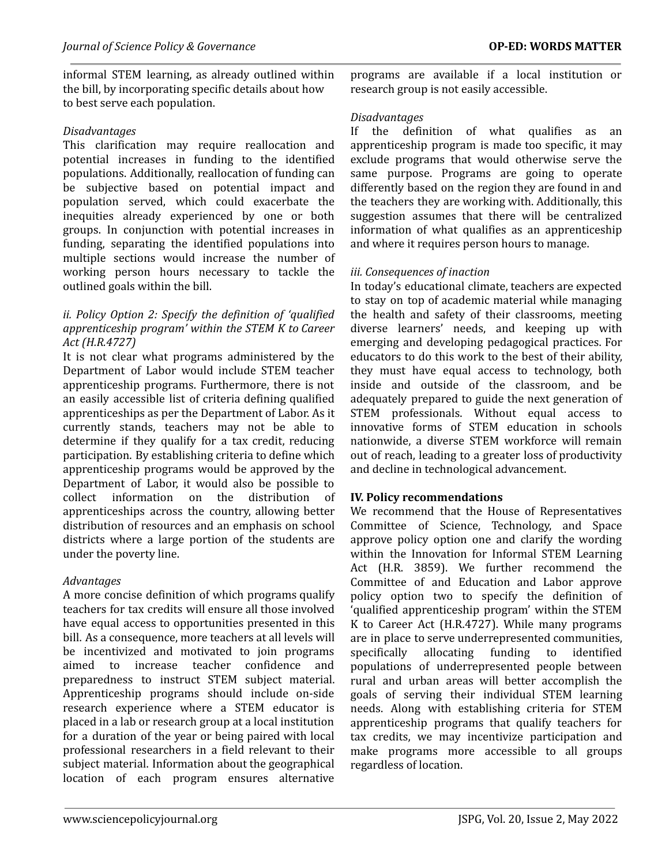informal STEM learning, as already outlined within the bill, by incorporating specific details about how to best serve each population.

# *Disadvantages*

This clarification may require reallocation and potential increases in funding to the identified populations. Additionally, reallocation of funding can be subjective based on potential impact and population served, which could exacerbate the inequities already experienced by one or both groups. In conjunction with potential increases in funding, separating the identified populations into multiple sections would increase the number of working person hours necessary to tackle the outlined goals within the bill.

## *ii. Policy Option 2: Specify the definition of 'qualified apprenticeship program' within the STEM K to Career Act (H.R.4727)*

It is not clear what programs administered by the Department of Labor would include STEM teacher apprenticeship programs. Furthermore, there is not an easily accessible list of criteria defining qualified apprenticeships as per the Department of Labor. As it currently stands, teachers may not be able to determine if they qualify for a tax credit, reducing participation. By establishing criteria to define which apprenticeship programs would be approved by the Department of Labor, it would also be possible to collect information on the distribution of apprenticeships across the country, allowing better distribution of resources and an emphasis on school districts where a large portion of the students are under the poverty line.

#### *Advantages*

A more concise definition of which programs qualify teachers for tax credits will ensure all those involved have equal access to opportunities presented in this bill. As a consequence, more teachers at all levels will be incentivized and motivated to join programs aimed to increase teacher confidence and preparedness to instruct STEM subject material. Apprenticeship programs should include on-side research experience where a STEM educator is placed in a lab or research group at a local institution for a duration of the year or being paired with local professional researchers in a field relevant to their subject material. Information about the geographical location of each program ensures alternative

programs are available if a local institution or research group is not easily accessible.

#### *Disadvantages*

If the definition of what qualifies as an apprenticeship program is made too specific, it may exclude programs that would otherwise serve the same purpose. Programs are going to operate differently based on the region they are found in and the teachers they are working with. Additionally, this suggestion assumes that there will be centralized information of what qualifies as an apprenticeship and where it requires person hours to manage.

# *iii. Consequences of inaction*

In today's educational climate, teachers are expected to stay on top of academic material while managing the health and safety of their classrooms, meeting diverse learners' needs, and keeping up with emerging and developing pedagogical practices. For educators to do this work to the best of their ability, they must have equal access to technology, both inside and outside of the classroom, and be adequately prepared to guide the next generation of STEM professionals. Without equal access to innovative forms of STEM education in schools nationwide, a diverse STEM workforce will remain out of reach, leading to a greater loss of productivity and decline in technological advancement.

#### **IV. Policy recommendations**

We recommend that the House of Representatives Committee of Science, Technology, and Space approve policy option one and clarify the wording within the Innovation for Informal STEM Learning Act (H.R. 3859). We further recommend the Committee of and Education and Labor approve policy option two to specify the definition of 'qualified apprenticeship program' within the STEM K to Career Act (H.R.4727). While many programs are in place to serve underrepresented communities, specifically allocating funding to identified populations of underrepresented people between rural and urban areas will better accomplish the goals of serving their individual STEM learning needs. Along with establishing criteria for STEM apprenticeship programs that qualify teachers for tax credits, we may incentivize participation and make programs more accessible to all groups regardless of location.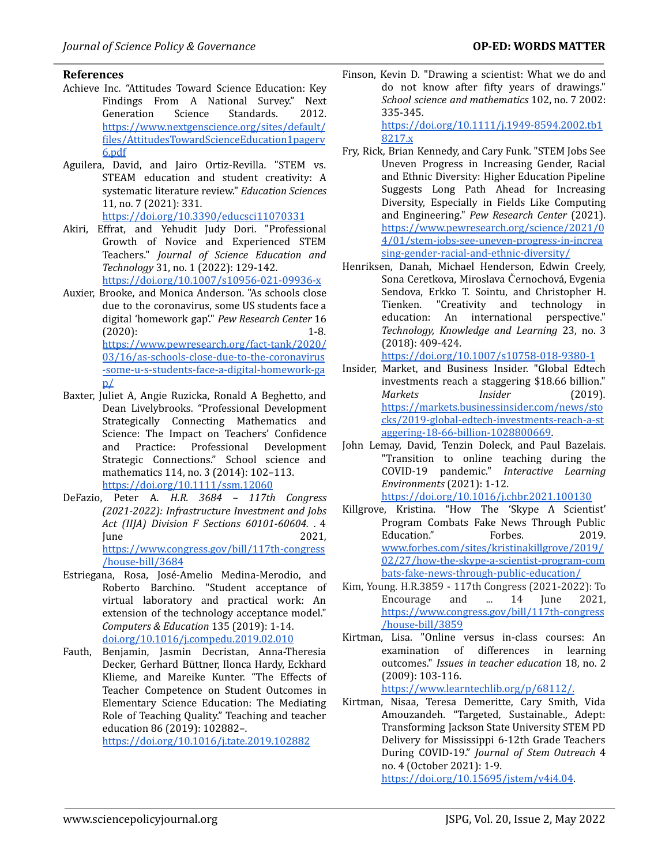#### **References**

- Achieve Inc. "Attitudes Toward Science Education: Key Findings From A National Survey." Nex[t](https://www.nextgenscience.org/sites/default/files/AttitudesTowardScienceEducation1pagerv6.pdf) Generation Science Standards. 2012. [https://www.nextgenscience.org/sites/default/](https://www.nextgenscience.org/sites/default/files/AttitudesTowardScienceEducation1pagerv6.pdf) [files/AttitudesTowardScienceEducation1pagerv](https://www.nextgenscience.org/sites/default/files/AttitudesTowardScienceEducation1pagerv6.pdf) [6.pdf](https://www.nextgenscience.org/sites/default/files/AttitudesTowardScienceEducation1pagerv6.pdf)
- Aguilera, David, and Jairo Ortiz-Revilla. "STEM vs. STEAM education and student creativity: A systematic literature review." *Education Sciences* 11, no. 7 (2021): 331.

<https://doi.org/10.3390/educsci11070331>

- Akiri, Effrat, and Yehudit Judy Dori. "Professional Growth of Novice and Experienced STEM Teachers." *Journal of Science Education and Technology* 31, no. 1 (2022): 129-142. <https://doi.org/10.1007/s10956-021-09936-x>
- Auxier, Brooke, and Monica Anderson. "As schools close due to the coronavirus, some US students face a digital 'homework gap'." *Pew Research Center* 16 (2020): 1-8[.](https://www.pewresearch.org/fact-tank/2020/03/16/as-schools-close-due-to-the-coronavirus-some-u-s-students-face-a-digital-homework-gap/) [https://www.pewresearch.org/fact-tank/2020/](https://www.pewresearch.org/fact-tank/2020/03/16/as-schools-close-due-to-the-coronavirus-some-u-s-students-face-a-digital-homework-gap/) [03/16/as-schools-close-due-to-the-coronavirus](https://www.pewresearch.org/fact-tank/2020/03/16/as-schools-close-due-to-the-coronavirus-some-u-s-students-face-a-digital-homework-gap/) [-some-u-s-students-face-a-digital-homework-ga](https://www.pewresearch.org/fact-tank/2020/03/16/as-schools-close-due-to-the-coronavirus-some-u-s-students-face-a-digital-homework-gap/)  $p\angle$
- Baxter, Juliet A, Angie Ruzicka, Ronald A Beghetto, and Dean Livelybrooks. "Professional Development Strategically Connecting Mathematics and Science: The Impact on Teachers' Confidence and Practice: Professional Development Strategic Connections." School science and mathematics 114, no. 3 (2014): 102–113. <https://doi.org/10.1111/ssm.12060>
- DeFazio, Peter A. *H.R. 3684 – 117th Congress (2021-2022): Infrastructure Investment and Jobs Act (IIJA) Division F Sections 60101-60604.* . 4  $June$  2021, [https://www.congress.gov/bill/117th-congress](https://www.congress.gov/bill/117th-congress/house-bill/3684) [/house-bill/3684](https://www.congress.gov/bill/117th-congress/house-bill/3684)
- Estriegana, Rosa, José-Amelio Medina-Merodio, and Roberto Barchino. "Student acceptance of virtual laboratory and practical work: An extension of the technology acceptance model." *Computers & Education* 135 (2019): 1-14. [doi.org/10.1016/j.compedu.2019.02.010](https://doi.org/10.1016/j.compedu.2019.02.010)
- Fauth, Benjamin, Jasmin Decristan, Anna-Theresia Decker, Gerhard Büttner, Ilonca Hardy, Eckhard Klieme, and Mareike Kunter. "The Effects of Teacher Competence on Student Outcomes in Elementary Science Education: The Mediating Role of Teaching Quality." Teaching and teacher education 86 (2019): 102882–.

<https://doi.org/10.1016/j.tate.2019.102882>

Finson, Kevin D. "Drawing a scientist: What we do and do not know after fifty years of drawings." *School science and mathematics* 102, no. 7 2002: 335-345.

[https://doi.org/10.1111/j.1949-8594.2002.tb1](https://doi.org/10.1111/j.1949-8594.2002.tb18217.x) [8217.x](https://doi.org/10.1111/j.1949-8594.2002.tb18217.x)

- Fry, Rick, Brian Kennedy, and Cary Funk. "STEM Jobs See Uneven Progress in Increasing Gender, Racial and Ethnic Diversity: Higher Education Pipeline Suggests Long Path Ahead for Increasing Diversity, Especially in Fields Like Computing and Engineering." *Pew Research Center* (2021). [https://www.pewresearch.org/science/2021/0](https://www.pewresearch.org/science/2021/04/01/stem-jobs-see-uneven-progress-in-increasing-gender-racial-and-ethnic-diversity/) [4/01/stem-jobs-see-uneven-progress-in-increa](https://www.pewresearch.org/science/2021/04/01/stem-jobs-see-uneven-progress-in-increasing-gender-racial-and-ethnic-diversity/) [sing-gender-racial-and-ethnic-diversity/](https://www.pewresearch.org/science/2021/04/01/stem-jobs-see-uneven-progress-in-increasing-gender-racial-and-ethnic-diversity/)
- Henriksen, Danah, Michael Henderson, Edwin Creely, Sona Ceretkova, Miroslava Černochová, Evgenia Sendova, Erkko T. Sointu, and Christopher H. Tienken. "Creativity and technology in education: An international perspective." *Technology, Knowledge and Learning* 23, no. 3 (2018): 409-424.

https://doi.org/10.1007/s10758-018-9380-1

- Insider, Market, and Business Insider. "Global Edtech investments reach a staggering \$18.66 billion." *Markets Insider* (2019). [https://markets.businessinsider.com/news/sto](https://markets.businessinsider.com/news/stocks/2019-global-edtech-investments-reach-a-staggering-18-66-billion-1028800669) [cks/2019-global-edtech-investments-reach-a-st](https://markets.businessinsider.com/news/stocks/2019-global-edtech-investments-reach-a-staggering-18-66-billion-1028800669) [aggering-18-66-billion-1028800669.](https://markets.businessinsider.com/news/stocks/2019-global-edtech-investments-reach-a-staggering-18-66-billion-1028800669)
- John Lemay, David, Tenzin Doleck, and Paul Bazelais. "Transition to online teaching during the COVID-19 pandemic." *Interactive Learning Environments* (2021): 1-12. <https://doi.org/10.1016/j.chbr.2021.100130>
- Killgrove, Kristina. "How The 'Skype A Scientist' Program Combats Fake News Through Public Education." Forbes. 2019. [www.forbes.com/sites/kristinakillgrove/2019/](https://www.forbes.com/sites/kristinakillgrove/2019/02/27/how-the-skype-a-scientist-program-combats-fake-news-through-public-education/) [02/27/how-the-skype-a-scientist-program-com](https://www.forbes.com/sites/kristinakillgrove/2019/02/27/how-the-skype-a-scientist-program-combats-fake-news-through-public-education/) [bats-fake-news-through-public-education/](https://www.forbes.com/sites/kristinakillgrove/2019/02/27/how-the-skype-a-scientist-program-combats-fake-news-through-public-education/)
- Kim, Young. H.R.3859 117th Congress (2021-2022): To Encourage and ... 14 June 2021, [https://www.congress.gov/bill/117th-congress](https://www.congress.gov/bill/117th-congress/house-bill/3859) [/house-bill/3859](https://www.congress.gov/bill/117th-congress/house-bill/3859)
- Kirtman, Lisa. "Online versus in-class courses: An examination of differences in learning outcomes." *Issues in teacher education* 18, no. 2 (2009): 103-116.

[https://www.learntechlib.org/p/68112/.](https://www.learntechlib.org/p/68112/)

Kirtman, Nisaa, Teresa Demeritte, Cary Smith, Vida Amouzandeh. "Targeted, Sustainable., Adept: Transforming Jackson State University STEM PD Delivery for Mississippi 6-12th Grade Teachers During COVID-19." *Journal of Stem Outreach* 4 no. 4 (October 2021): 1-9.

[https://doi.org/10.15695/jstem/v4i4.04.](https://doi.org/10.15695/jstem/v4i4.04)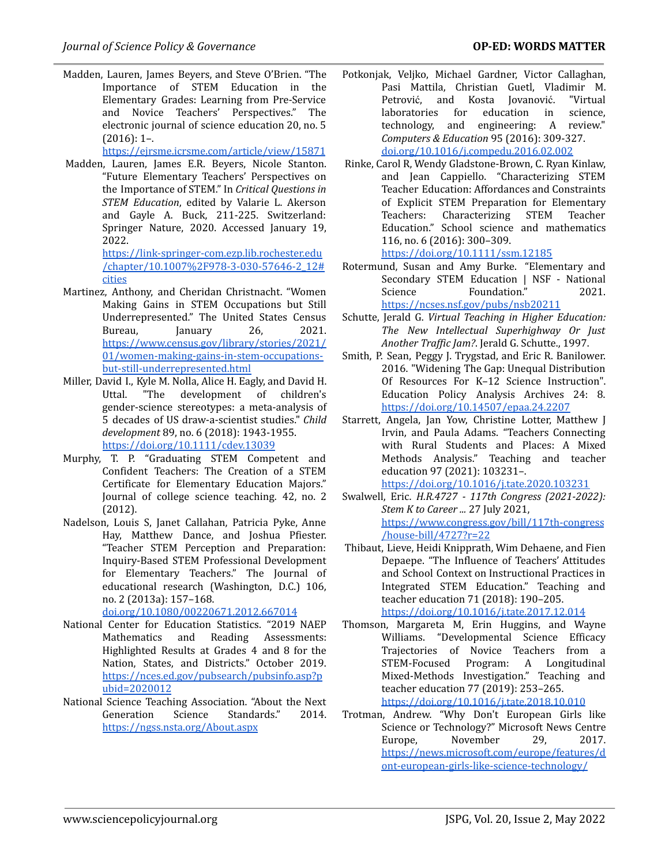Madden, Lauren, James Beyers, and Steve O'Brien. "The Importance of STEM Education in the Elementary Grades: Learning from Pre-Service and Novice Teachers' Perspectives." The electronic journal of science education 20, no. 5  $(2016): 1-.$ 

<https://ejrsme.icrsme.com/article/view/15871>

Madden, Lauren, James E.R. Beyers, Nicole Stanton. "Future Elementary Teachers' Perspectives on the Importance of STEM." In *Critical Questions in STEM Education*, edited by Valarie L. Akerson and Gayle A. Buck, 211-225. Switzerland: Sprin[g](https://link-springer-com.ezp.lib.rochester.edu/chapter/10.1007%2F978-3-030-57646-2_12#citeas)er Nature, 2020. Accessed January 19, 2022.

[https://link-springer-com.ezp.lib.rochester.edu](https://link-springer-com.ezp.lib.rochester.edu/chapter/10.1007%2F978-3-030-57646-2_12#citeas) [/chapter/10.1007%2F978-3-030-57646-2\\_12#](https://link-springer-com.ezp.lib.rochester.edu/chapter/10.1007%2F978-3-030-57646-2_12#citeas) [cities](https://link-springer-com.ezp.lib.rochester.edu/chapter/10.1007%2F978-3-030-57646-2_12#citeas)

- Martinez, Anthony, and Cheridan Christnacht. "Women Making Gains in STEM Occupations but Still Underrepresented." The United States Census Bureau, January 26, 2021. [https://www.census.gov/library/stories/2021/](https://www.census.gov/library/stories/2021/01/women-making-gains-in-stem-occupations-but-still-underrepresented.html) [01/women-making-gains-in-stem-occupations](https://www.census.gov/library/stories/2021/01/women-making-gains-in-stem-occupations-but-still-underrepresented.html)[but-still-underrepresented.html](https://www.census.gov/library/stories/2021/01/women-making-gains-in-stem-occupations-but-still-underrepresented.html)
- Miller, David I., Kyle M. Nolla, Alice H. Eagly, and David H. Uttal. "The development of children's gender‐science stereotypes: a meta‐analysis of 5 decades of US draw‐a‐scientist studies." *Child development* 89, no. 6 (2018): 1943-1955. <https://doi.org/10.1111/cdev.13039>
- Murphy, T. P. "Graduating STEM Competent and Confident Teachers: The Creation of a STEM Certificate for Elementary Education Majors." Journal of college science teaching. 42, no. 2 (2012).
- Nadelson, Louis S, Janet Callahan, Patricia Pyke, Anne Hay, Matthew Dance, and Joshua Pfiester. "Teacher STEM Perception and Preparation: Inquiry-Based STEM Professional Development for Elementary Teachers." The Journal of educational research (Washington, D.C.) 106, no. 2 (2013a): 157–168.

[doi.org/10.1080/00220671.2012.667014](https://doi.org/10.1080/00220671.2012.667014)

- National Center for Education Statistics. "2019 NAEP Mathematics and Reading Assessments: Highlighted Results at Grades 4 and 8 for the Nation, States, and Districts." October 2019. [https://nces.ed.gov/pubsearch/pubsinfo.asp?p](https://nces.ed.gov/pubsearch/pubsinfo.asp?pubid=2020012) [ubid=2020012](https://nces.ed.gov/pubsearch/pubsinfo.asp?pubid=2020012)
- National Science Teaching Association. "About the Next Generation Science Standards." 2014. <https://ngss.nsta.org/About.aspx>
- Potkonjak, Veljko, Michael Gardner, Victor Callaghan, Pasi Mattila, Christian Guetl, Vladimir M. Petrović, and Kosta Jovanović. "Virtual laboratories for education in science, technology, and engineering: A review." *Computers & Education* 95 (2016): 309-327. [doi.org/10.1016/j.compedu.2016.02.002](https://doi.org/10.1016/j.compedu.2016.02.002)
- Rinke, Carol R, Wendy Gladstone-Brown, C. Ryan Kinlaw, and Jean Cappiello. "Characterizing STEM Teacher Education: Affordances and Constraints of Explicit STEM Preparation for Elementary Teachers: Characterizing STEM Teacher Education." School science and mathematics 116, no. 6 (2016): 300–309.

#### <https://doi.org/10.1111/ssm.12185>

- Rotermund, Susan and Amy Burke. "Elementary and Secondary STEM Education | NSF - National Science Foundation[.](https://ncses.nsf.gov/pubs/nsb20211)" 2021. <https://ncses.nsf.gov/pubs/nsb20211>
- Schutte, Jerald G. *Virtual Teaching in Higher Education: The New Intellectual Superhighway Or Just Another Traf ic Jam?*. Jerald G. Schutte., 1997.
- Smith, P. Sean, Peggy J. Trygstad, and Eric R. Banilower. 2016. "Widening The Gap: Unequal Distribution Of Resources For K–12 Science Instruction". Education Policy Analysis Archives 24: 8. <https://doi.org/10.14507/epaa.24.2207>
- Starrett, Angela, Jan Yow, Christine Lotter, Matthew J Irvin, and Paula Adams. "Teachers Connecting with Rural Students and Places: A Mixed Methods Analysis." Teaching and teacher education 97 (2021): 103231–. <https://doi.org/10.1016/j.tate.2020.103231>
- Swalwell, Eric. *H.R.4727 - 117th Congress (2021-2022): Stem K to Career ...* 27 July 2021, [https://www.congress.gov/bill/117th-congress](https://www.congress.gov/bill/117th-congress/house-bill/4727?r=22) [/house-bill/4727?r=22](https://www.congress.gov/bill/117th-congress/house-bill/4727?r=22)
- Thibaut, Lieve, Heidi Knipprath, Wim Dehaene, and Fien Depaepe. "The Influence of Teachers' Attitudes and School Context on Instructional Practices in Integrated STEM Education." Teaching and teacher education 71 (2018): 190–205. <https://doi.org/10.1016/j.tate.2017.12.014>
- Thomson, Margareta M, Erin Huggins, and Wayne Williams. "Developmental Science Efficacy Trajectories of Novice Teachers from a STEM-Focused Program: A Longitudinal Mixed-Methods Investigation." Teaching and teacher education 77 (2019): 253–265. <https://doi.org/10.1016/j.tate.2018.10.010>
- Trotman, Andrew. "Why Don't European Girls like Science or Technology?" Microsoft News Centre Europe, November 29, 2017. [https://news.microsoft.com/europe/features/d](https://news.microsoft.com/europe/features/dont-european-girls-like-science-technology/) [ont-european-girls-like-science-technology/](https://news.microsoft.com/europe/features/dont-european-girls-like-science-technology/)